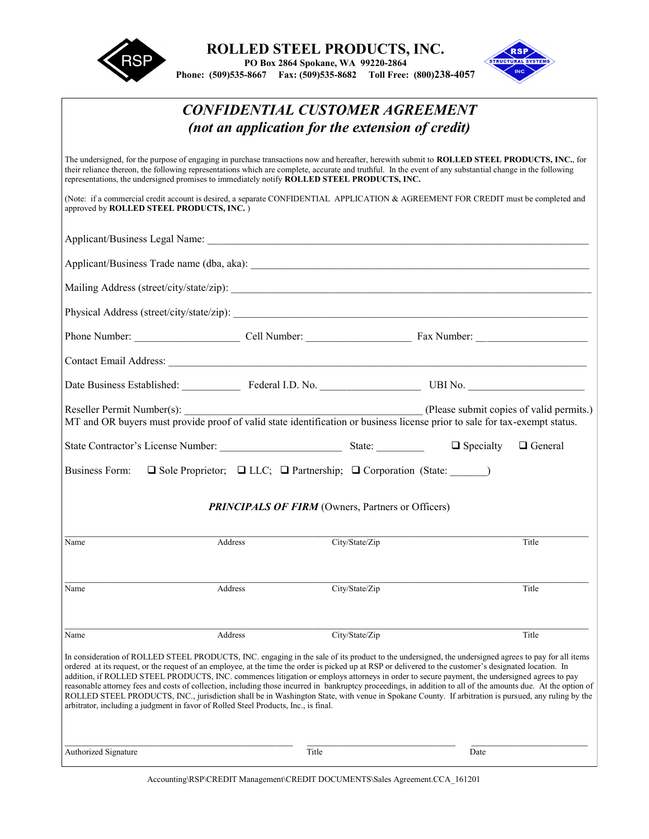



## *CONFIDENTIAL CUSTOMER AGREEMENT (not an application for the extension of credit)* The undersigned, for the purpose of engaging in purchase transactions now and hereafter, herewith submit to **ROLLED STEEL PRODUCTS, INC.**, for their reliance thereon, the following representations which are complete, accurate and truthful. In the event of any substantial change in the following representations, the undersigned promises to immediately notify **ROLLED STEEL PRODUCTS, INC.** (Note: if a commercial credit account is desired, a separate CONFIDENTIAL APPLICATION & AGREEMENT FOR CREDIT must be completed and approved by **ROLLED STEEL PRODUCTS, INC.** ) Applicant/Business Legal Name: Applicant/Business Trade name (dba, aka): Mailing Address (street/city/state/zip): \_\_\_\_\_\_\_\_\_\_\_\_\_\_\_\_\_\_\_\_\_\_\_\_\_\_\_\_\_\_\_\_\_\_\_\_\_\_\_\_\_\_\_\_\_\_\_\_\_\_\_\_\_\_\_\_\_\_\_\_\_\_\_\_\_\_\_\_ Physical Address (street/city/state/zip): Phone Number: \_\_\_\_\_\_\_\_\_\_\_\_\_\_\_\_\_\_\_\_ Cell Number: \_\_\_\_\_\_\_\_\_\_\_\_\_\_\_\_\_\_\_\_ Fax Number: \_\_\_\_\_\_\_\_\_\_\_\_\_\_\_\_\_\_\_\_\_ Contact Email Address: \_\_\_\_\_\_\_\_\_\_\_\_\_\_\_\_\_\_\_\_\_\_\_\_\_\_\_\_\_\_\_\_\_\_\_\_\_\_\_\_\_\_\_\_\_\_\_\_\_\_\_\_\_\_\_\_\_\_\_\_\_\_\_\_\_\_\_\_\_\_\_\_\_\_\_\_\_\_\_ Date Business Established: \_\_\_\_\_\_\_\_\_\_\_ Federal I.D. No. \_\_\_\_\_\_\_\_\_\_\_\_\_\_\_\_\_\_\_ UBI No. \_\_\_\_\_\_\_\_\_\_\_\_\_\_\_\_\_\_\_\_\_\_ Reseller Permit Number(s):  $\qquad \qquad$  (Please submit copies of valid permits.) MT and OR buyers must provide proof of valid state identification or business license prior to sale for tax-exempt status. State Contractor's License Number: State:  $\Box$  Specialty  $\Box$  General Business Form:  $\Box$  Sole Proprietor;  $\Box$  LLC;  $\Box$  Partnership;  $\Box$  Corporation (State:  $\Box$ ) **PRINCIPALS OF FIRM** (Owners, Partners or Officers)  $\mathcal{L}_\mathcal{L} = \{ \mathcal{L}_\mathcal{L} = \{ \mathcal{L}_\mathcal{L} = \{ \mathcal{L}_\mathcal{L} = \{ \mathcal{L}_\mathcal{L} = \{ \mathcal{L}_\mathcal{L} = \{ \mathcal{L}_\mathcal{L} = \{ \mathcal{L}_\mathcal{L} = \{ \mathcal{L}_\mathcal{L} = \{ \mathcal{L}_\mathcal{L} = \{ \mathcal{L}_\mathcal{L} = \{ \mathcal{L}_\mathcal{L} = \{ \mathcal{L}_\mathcal{L} = \{ \mathcal{L}_\mathcal{L} = \{ \mathcal{L}_\mathcal{$ Name Address Address City/State/Zip Title  $\mathcal{L}_\mathcal{L} = \{ \mathcal{L}_\mathcal{L} = \{ \mathcal{L}_\mathcal{L} = \{ \mathcal{L}_\mathcal{L} = \{ \mathcal{L}_\mathcal{L} = \{ \mathcal{L}_\mathcal{L} = \{ \mathcal{L}_\mathcal{L} = \{ \mathcal{L}_\mathcal{L} = \{ \mathcal{L}_\mathcal{L} = \{ \mathcal{L}_\mathcal{L} = \{ \mathcal{L}_\mathcal{L} = \{ \mathcal{L}_\mathcal{L} = \{ \mathcal{L}_\mathcal{L} = \{ \mathcal{L}_\mathcal{L} = \{ \mathcal{L}_\mathcal{$ Name Address City/State/Zip Title Name Address City/State/Zip Title In consideration of ROLLED STEEL PRODUCTS, INC. engaging in the sale of its product to the undersigned, the undersigned agrees to pay for all items ordered at its request, or the request of an employee, at the time the order is picked up at RSP or delivered to the customer's designated location. In addition, if ROLLED STEEL PRODUCTS, INC. commences litigation or employs attorneys in order to secure payment, the undersigned agrees to pay reasonable attorney fees and costs of collection, including those incurred in bankruptcy proceedings, in addition to all of the amounts due. At the option of ROLLED STEEL PRODUCTS, INC., jurisdiction shall be in Washington State, with venue in Spokane County. If arbitration is pursued, any ruling by the arbitrator, including a judgment in favor of Rolled Steel Products, Inc., is final. \_\_\_\_\_\_\_\_\_\_\_\_\_\_\_\_\_\_\_\_\_\_\_\_\_\_\_\_\_\_\_\_\_\_\_\_\_\_\_\_\_\_\_ \_\_\_\_\_\_\_\_\_\_\_\_\_\_\_\_\_\_\_\_\_\_\_\_\_\_\_\_ \_\_\_\_\_\_\_\_\_\_\_\_\_\_\_\_\_\_\_\_\_\_ Authorized Signature Title Date

Accounting\RSP\CREDIT Management\CREDIT DOCUMENTS\Sales Agreement.CCA\_161201